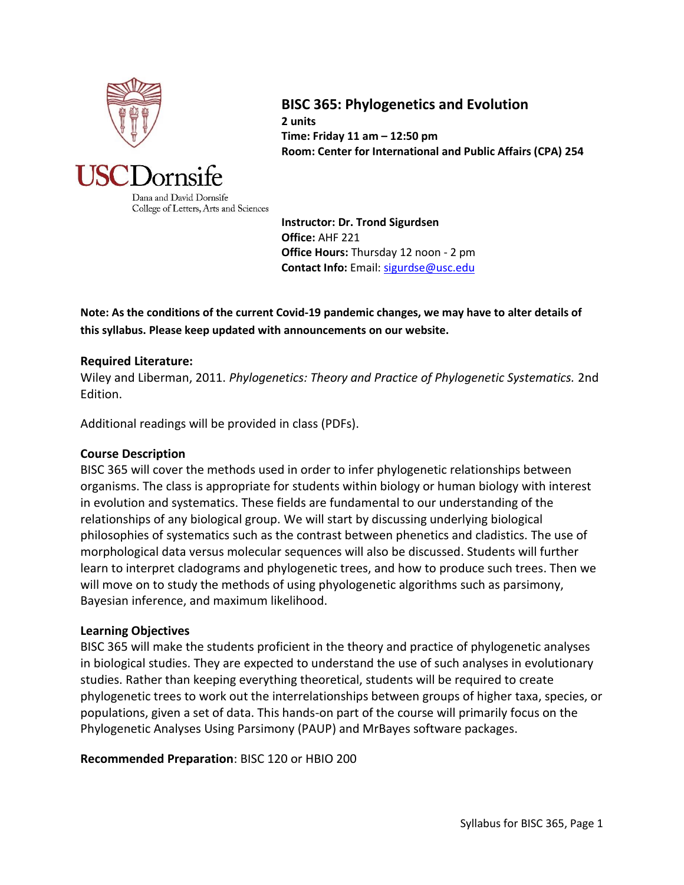

# **BISC 365: Phylogenetics and Evolution**

**2 units Time: Friday 11 am – 12:50 pm Room: Center for International and Public Affairs (CPA) 254**



Dana and David Dornsife College of Letters, Arts and Sciences

**Instructor: Dr. Trond Sigurdsen Office:** AHF 221 **Office Hours:** Thursday 12 noon - 2 pm **Contact Info:** Email[: sigurdse@usc.edu](mailto:sigurdse@usc.edu)

**Note: As the conditions of the current Covid-19 pandemic changes, we may have to alter details of this syllabus. Please keep updated with announcements on our website.**

## **Required Literature:**

Wiley and Liberman, 2011. *Phylogenetics: Theory and Practice of Phylogenetic Systematics.* 2nd Edition.

Additional readings will be provided in class (PDFs).

#### **Course Description**

BISC 365 will cover the methods used in order to infer phylogenetic relationships between organisms. The class is appropriate for students within biology or human biology with interest in evolution and systematics. These fields are fundamental to our understanding of the relationships of any biological group. We will start by discussing underlying biological philosophies of systematics such as the contrast between phenetics and cladistics. The use of morphological data versus molecular sequences will also be discussed. Students will further learn to interpret cladograms and phylogenetic trees, and how to produce such trees. Then we will move on to study the methods of using phyologenetic algorithms such as parsimony, Bayesian inference, and maximum likelihood.

#### **Learning Objectives**

BISC 365 will make the students proficient in the theory and practice of phylogenetic analyses in biological studies. They are expected to understand the use of such analyses in evolutionary studies. Rather than keeping everything theoretical, students will be required to create phylogenetic trees to work out the interrelationships between groups of higher taxa, species, or populations, given a set of data. This hands-on part of the course will primarily focus on the Phylogenetic Analyses Using Parsimony (PAUP) and MrBayes software packages.

## **Recommended Preparation**: BISC 120 or HBIO 200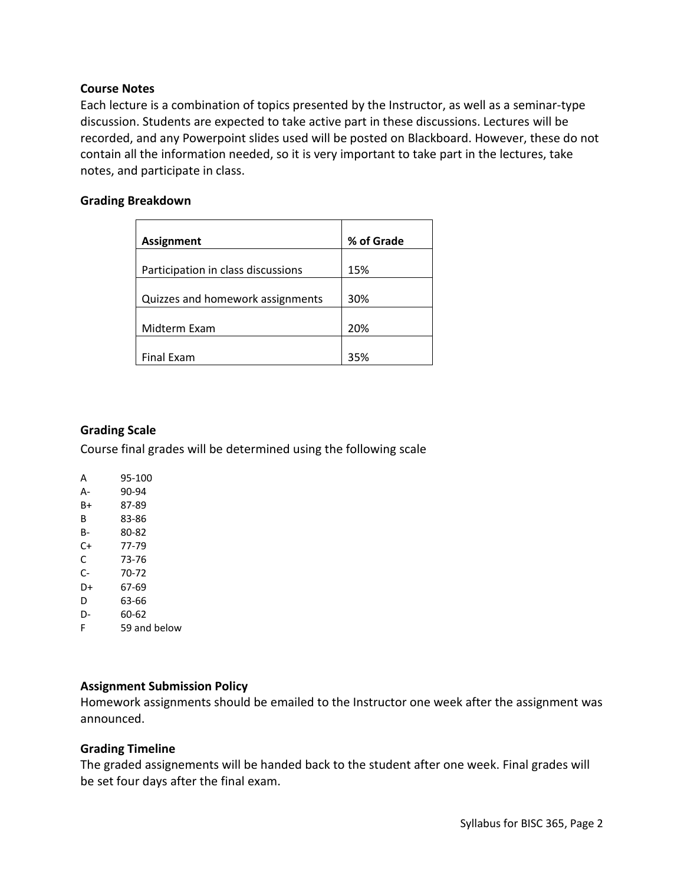### **Course Notes**

Each lecture is a combination of topics presented by the Instructor, as well as a seminar-type discussion. Students are expected to take active part in these discussions. Lectures will be recorded, and any Powerpoint slides used will be posted on Blackboard. However, these do not contain all the information needed, so it is very important to take part in the lectures, take notes, and participate in class.

### **Grading Breakdown**

| <b>Assignment</b>                  | % of Grade |
|------------------------------------|------------|
|                                    |            |
| Participation in class discussions | 15%        |
| Quizzes and homework assignments   | 30%        |
|                                    |            |
| Midterm Exam                       | 20%        |
|                                    |            |
| <b>Final Exam</b>                  | 35%        |

## **Grading Scale**

Course final grades will be determined using the following scale

| А  | 95-100       |
|----|--------------|
| А- | 90-94        |
| B+ | 87-89        |
| в  | 83-86        |
| B- | 80-82        |
| C+ | 77-79        |
| C  | 73-76        |
| C- | 70-72        |
| D+ | 67-69        |
| D  | 63-66        |
| D- | 60-62        |
| F  | 59 and below |
|    |              |

### **Assignment Submission Policy**

Homework assignments should be emailed to the Instructor one week after the assignment was announced.

## **Grading Timeline**

The graded assignements will be handed back to the student after one week. Final grades will be set four days after the final exam.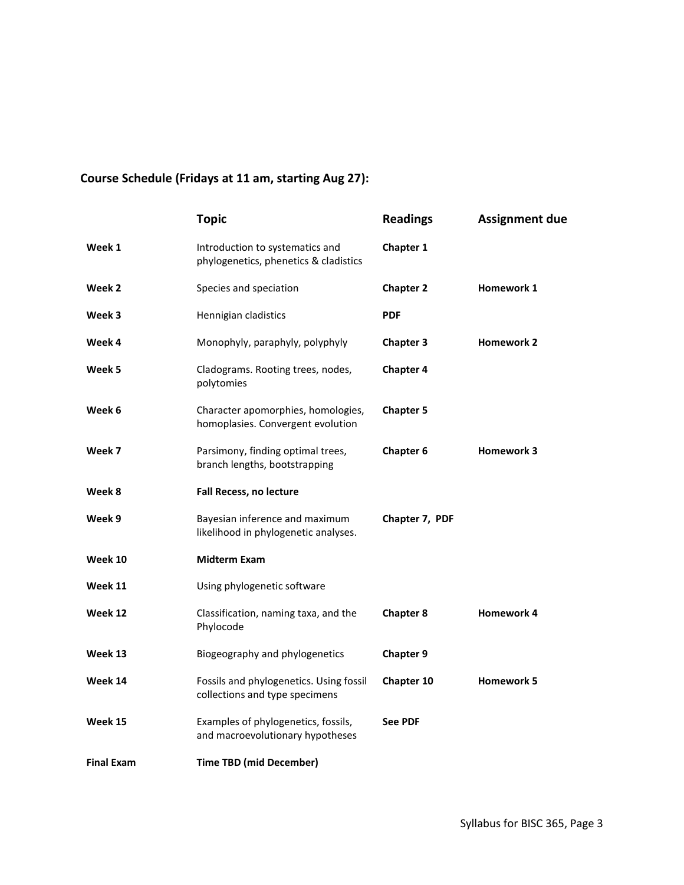# **Course Schedule (Fridays at 11 am, starting Aug 27):**

|                   | <b>Topic</b>                                                              | <b>Readings</b>  | <b>Assignment due</b> |
|-------------------|---------------------------------------------------------------------------|------------------|-----------------------|
| Week 1            | Introduction to systematics and<br>phylogenetics, phenetics & cladistics  | <b>Chapter 1</b> |                       |
| Week 2            | Species and speciation                                                    | <b>Chapter 2</b> | <b>Homework 1</b>     |
| Week 3            | Hennigian cladistics                                                      | <b>PDF</b>       |                       |
| Week 4            | Monophyly, paraphyly, polyphyly                                           | <b>Chapter 3</b> | <b>Homework 2</b>     |
| Week 5            | Cladograms. Rooting trees, nodes,<br>polytomies                           | <b>Chapter 4</b> |                       |
| Week 6            | Character apomorphies, homologies,<br>homoplasies. Convergent evolution   | <b>Chapter 5</b> |                       |
| Week 7            | Parsimony, finding optimal trees,<br>branch lengths, bootstrapping        | Chapter 6        | <b>Homework 3</b>     |
| Week 8            | <b>Fall Recess, no lecture</b>                                            |                  |                       |
| Week 9            | Bayesian inference and maximum<br>likelihood in phylogenetic analyses.    | Chapter 7, PDF   |                       |
| Week 10           | <b>Midterm Exam</b>                                                       |                  |                       |
| Week 11           | Using phylogenetic software                                               |                  |                       |
| Week 12           | Classification, naming taxa, and the<br>Phylocode                         | <b>Chapter 8</b> | <b>Homework 4</b>     |
| Week 13           | Biogeography and phylogenetics                                            | <b>Chapter 9</b> |                       |
| Week 14           | Fossils and phylogenetics. Using fossil<br>collections and type specimens | Chapter 10       | <b>Homework 5</b>     |
| Week 15           | Examples of phylogenetics, fossils,<br>and macroevolutionary hypotheses   | <b>See PDF</b>   |                       |
| <b>Final Exam</b> | <b>Time TBD (mid December)</b>                                            |                  |                       |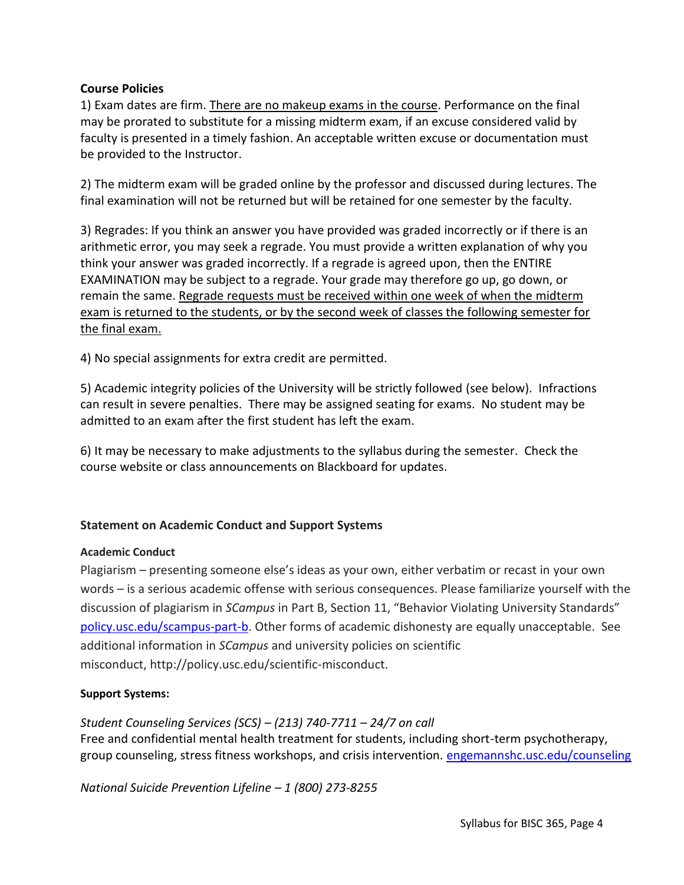## **Course Policies**

1) Exam dates are firm. There are no makeup exams in the course. Performance on the final may be prorated to substitute for a missing midterm exam, if an excuse considered valid by faculty is presented in a timely fashion. An acceptable written excuse or documentation must be provided to the Instructor.

2) The midterm exam will be graded online by the professor and discussed during lectures. The final examination will not be returned but will be retained for one semester by the faculty.

3) Regrades: If you think an answer you have provided was graded incorrectly or if there is an arithmetic error, you may seek a regrade. You must provide a written explanation of why you think your answer was graded incorrectly. If a regrade is agreed upon, then the ENTIRE EXAMINATION may be subject to a regrade. Your grade may therefore go up, go down, or remain the same. Regrade requests must be received within one week of when the midterm exam is returned to the students, or by the second week of classes the following semester for the final exam.

4) No special assignments for extra credit are permitted.

5) Academic integrity policies of the University will be strictly followed (see below). Infractions can result in severe penalties. There may be assigned seating for exams. No student may be admitted to an exam after the first student has left the exam.

6) It may be necessary to make adjustments to the syllabus during the semester. Check the course website or class announcements on Blackboard for updates.

# **Statement on Academic Conduct and Support Systems**

## **Academic Conduct**

Plagiarism – presenting someone else's ideas as your own, either verbatim or recast in your own words – is a serious academic offense with serious consequences. Please familiarize yourself with the discussion of plagiarism in *SCampus* in Part B, Section 11, "Behavior Violating University Standards" [policy.usc.edu/scampus-part-b.](https://policy.usc.edu/scampus-part-b/) Other forms of academic dishonesty are equally unacceptable. See additional information in *SCampus* and university policies on scientific misconduct, http://policy.usc.edu/scientific-misconduct.

## **Support Systems:**

*Student Counseling Services (SCS) – (213) 740-7711 – 24/7 on call*

Free and confidential mental health treatment for students, including short-term psychotherapy, group counseling, stress fitness workshops, and crisis intervention. [engemannshc.usc.edu/counseling](https://engemannshc.usc.edu/counseling)

*National Suicide Prevention Lifeline – 1 (800) 273-8255*